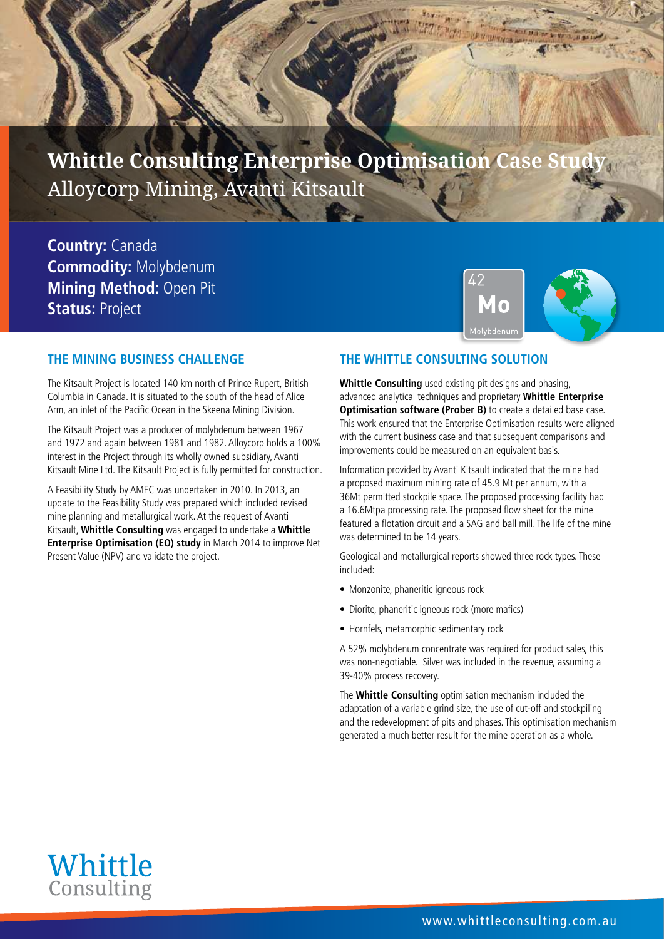# **Whittle Consulting Enterprise Optimisation Case Study** Alloycorp Mining, Avanti Kitsault

**Country:** Canada **Commodity:** Molybdenum **Mining Method:** Open Pit **Status: Project** 



#### **THE MINING BUSINESS CHALLENGE**

The Kitsault Project is located 140 km north of Prince Rupert, British Columbia in Canada. It is situated to the south of the head of Alice Arm, an inlet of the Pacific Ocean in the Skeena Mining Division.

The Kitsault Project was a producer of molybdenum between 1967 and 1972 and again between 1981 and 1982. Alloycorp holds a 100% interest in the Project through its wholly owned subsidiary, Avanti Kitsault Mine Ltd. The Kitsault Project is fully permitted for construction.

A Feasibility Study by AMEC was undertaken in 2010. In 2013, an update to the Feasibility Study was prepared which included revised mine planning and metallurgical work. At the request of Avanti Kitsault, **Whittle Consulting** was engaged to undertake a **Whittle Enterprise Optimisation (EO) study** in March 2014 to improve Net Present Value (NPV) and validate the project.

#### **THE WHITTLE CONSULTING SOLUTION**

**Whittle Consulting** used existing pit designs and phasing, advanced analytical techniques and proprietary **Whittle Enterprise Optimisation software (Prober B)** to create a detailed base case. This work ensured that the Enterprise Optimisation results were aligned with the current business case and that subsequent comparisons and improvements could be measured on an equivalent basis.

Information provided by Avanti Kitsault indicated that the mine had a proposed maximum mining rate of 45.9 Mt per annum, with a 36Mt permitted stockpile space. The proposed processing facility had a 16.6Mtpa processing rate. The proposed flow sheet for the mine featured a flotation circuit and a SAG and ball mill. The life of the mine was determined to be 14 years.

Geological and metallurgical reports showed three rock types. These included:

- Monzonite, phaneritic igneous rock
- Diorite, phaneritic igneous rock (more mafics)
- Hornfels, metamorphic sedimentary rock

A 52% molybdenum concentrate was required for product sales, this was non-negotiable. Silver was included in the revenue, assuming a 39-40% process recovery.

The **Whittle Consulting** optimisation mechanism included the adaptation of a variable grind size, the use of cut-off and stockpiling and the redevelopment of pits and phases. This optimisation mechanism generated a much better result for the mine operation as a whole.